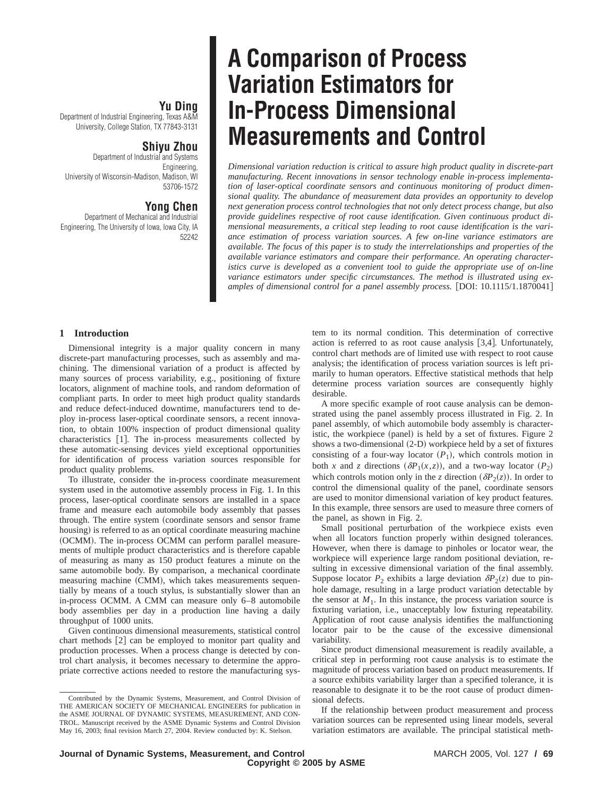# **Yu Ding**

Department of Industrial Engineering, Texas A&M University, College Station, TX 77843-3131

# **Shiyu Zhou**

Department of Industrial and Systems Engineering, University of Wisconsin-Madison, Madison, WI 53706-1572

# **Yong Chen**

Department of Mechanical and Industrial Engineering, The University of Iowa, Iowa City, IA 52242

# **A Comparison of Process Variation Estimators for In-Process Dimensional Measurements and Control**

*Dimensional variation reduction is critical to assure high product quality in discrete-part manufacturing. Recent innovations in sensor technology enable in-process implementation of laser-optical coordinate sensors and continuous monitoring of product dimensional quality. The abundance of measurement data provides an opportunity to develop next generation process control technologies that not only detect process change, but also provide guidelines respective of root cause identification. Given continuous product dimensional measurements, a critical step leading to root cause identification is the variance estimation of process variation sources. A few on-line variance estimators are available. The focus of this paper is to study the interrelationships and properties of the available variance estimators and compare their performance. An operating characteristics curve is developed as a convenient tool to guide the appropriate use of on-line variance estimators under specific circumstances. The method is illustrated using examples of dimensional control for a panel assembly process.* [DOI: 10.1115/1.1870041]

### **1 Introduction**

Dimensional integrity is a major quality concern in many discrete-part manufacturing processes, such as assembly and machining. The dimensional variation of a product is affected by many sources of process variability, e.g., positioning of fixture locators, alignment of machine tools, and random deformation of compliant parts. In order to meet high product quality standards and reduce defect-induced downtime, manufacturers tend to deploy in-process laser-optical coordinate sensors, a recent innovation, to obtain 100% inspection of product dimensional quality characteristics  $[1]$ . The in-process measurements collected by these automatic-sensing devices yield exceptional opportunities for identification of process variation sources responsible for product quality problems.

To illustrate, consider the in-process coordinate measurement system used in the automotive assembly process in Fig. 1. In this process, laser-optical coordinate sensors are installed in a space frame and measure each automobile body assembly that passes through. The entire system (coordinate sensors and sensor frame housing) is referred to as an optical coordinate measuring machine (OCMM). The in-process OCMM can perform parallel measurements of multiple product characteristics and is therefore capable of measuring as many as 150 product features a minute on the same automobile body. By comparison, a mechanical coordinate measuring machine (CMM), which takes measurements sequentially by means of a touch stylus, is substantially slower than an in-process OCMM. A CMM can measure only 6–8 automobile body assemblies per day in a production line having a daily throughput of 1000 units.

Given continuous dimensional measurements, statistical control chart methods  $[2]$  can be employed to monitor part quality and production processes. When a process change is detected by control chart analysis, it becomes necessary to determine the appropriate corrective actions needed to restore the manufacturing sys-

Contributed by the Dynamic Systems, Measurement, and Control Division of THE AMERICAN SOCIETY OF MECHANICAL ENGINEERS for publication in the ASME JOURNAL OF DYNAMIC SYSTEMS, MEASUREMENT, AND CON-TROL. Manuscript received by the ASME Dynamic Systems and Control Division May 16, 2003; final revision March 27, 2004. Review conducted by: K. Stelson.

tem to its normal condition. This determination of corrective action is referred to as root cause analysis  $[3,4]$ . Unfortunately, control chart methods are of limited use with respect to root cause analysis; the identification of process variation sources is left primarily to human operators. Effective statistical methods that help determine process variation sources are consequently highly desirable.

A more specific example of root cause analysis can be demonstrated using the panel assembly process illustrated in Fig. 2. In panel assembly, of which automobile body assembly is characteristic, the workpiece (panel) is held by a set of fixtures. Figure 2 shows a two-dimensional (2-D) workpiece held by a set of fixtures consisting of a four-way locator  $(P_1)$ , which controls motion in both *x* and *z* directions  $(\delta P_1(x,z))$ , and a two-way locator  $(P_2)$ which controls motion only in the *z* direction  $(\delta P_2(z))$ . In order to control the dimensional quality of the panel, coordinate sensors are used to monitor dimensional variation of key product features. In this example, three sensors are used to measure three corners of the panel, as shown in Fig. 2.

Small positional perturbation of the workpiece exists even when all locators function properly within designed tolerances. However, when there is damage to pinholes or locator wear, the workpiece will experience large random positional deviation, resulting in excessive dimensional variation of the final assembly. Suppose locator  $P_2$  exhibits a large deviation  $\delta P_2(z)$  due to pinhole damage, resulting in a large product variation detectable by the sensor at  $M_1$ . In this instance, the process variation source is fixturing variation, i.e., unacceptably low fixturing repeatability. Application of root cause analysis identifies the malfunctioning locator pair to be the cause of the excessive dimensional variability.

Since product dimensional measurement is readily available, a critical step in performing root cause analysis is to estimate the magnitude of process variation based on product measurements. If a source exhibits variability larger than a specified tolerance, it is reasonable to designate it to be the root cause of product dimensional defects.

If the relationship between product measurement and process variation sources can be represented using linear models, several variation estimators are available. The principal statistical meth-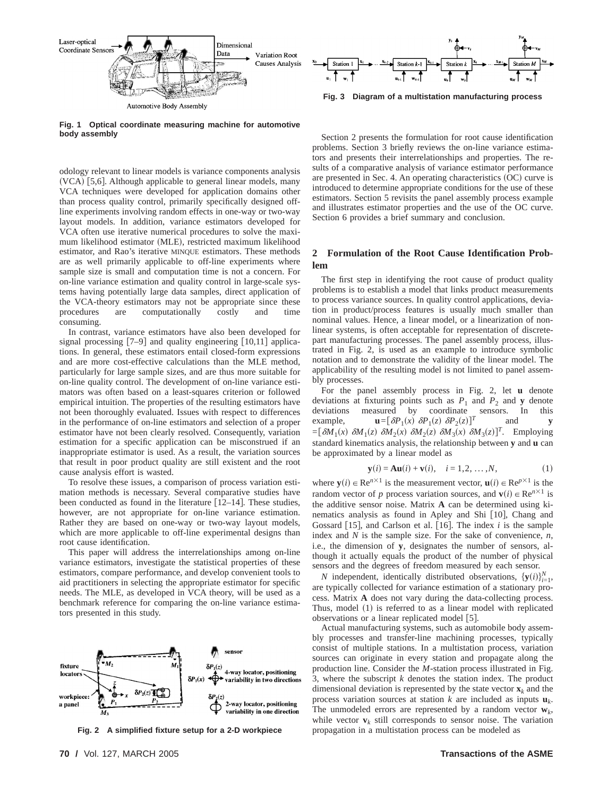

**Fig. 1 Optical coordinate measuring machine for automotive body assembly**

odology relevant to linear models is variance components analysis (VCA) [5,6]. Although applicable to general linear models, many VCA techniques were developed for application domains other than process quality control, primarily specifically designed offline experiments involving random effects in one-way or two-way layout models. In addition, variance estimators developed for VCA often use iterative numerical procedures to solve the maximum likelihood estimator (MLE), restricted maximum likelihood estimator, and Rao's iterative MINQUE estimators. These methods are as well primarily applicable to off-line experiments where sample size is small and computation time is not a concern. For on-line variance estimation and quality control in large-scale systems having potentially large data samples, direct application of the VCA-theory estimators may not be appropriate since these procedures are computationally costly and time consuming.

In contrast, variance estimators have also been developed for signal processing  $[7-9]$  and quality engineering  $[10,11]$  applications. In general, these estimators entail closed-form expressions and are more cost-effective calculations than the MLE method, particularly for large sample sizes, and are thus more suitable for on-line quality control. The development of on-line variance estimators was often based on a least-squares criterion or followed empirical intuition. The properties of the resulting estimators have not been thoroughly evaluated. Issues with respect to differences in the performance of on-line estimators and selection of a proper estimator have not been clearly resolved. Consequently, variation estimation for a specific application can be misconstrued if an inappropriate estimator is used. As a result, the variation sources that result in poor product quality are still existent and the root cause analysis effort is wasted.

To resolve these issues, a comparison of process variation estimation methods is necessary. Several comparative studies have been conducted as found in the literature  $[12-14]$ . These studies, however, are not appropriate for on-line variance estimation. Rather they are based on one-way or two-way layout models, which are more applicable to off-line experimental designs than root cause identification.

This paper will address the interrelationships among on-line variance estimators, investigate the statistical properties of these estimators, compare performance, and develop convenient tools to aid practitioners in selecting the appropriate estimator for specific needs. The MLE, as developed in VCA theory, will be used as a benchmark reference for comparing the on-line variance estimators presented in this study.



**Fig. 2 A simplified fixture setup for a 2-D workpiece**



**Fig. 3 Diagram of a multistation manufacturing process**

Section 2 presents the formulation for root cause identification problems. Section 3 briefly reviews the on-line variance estimators and presents their interrelationships and properties. The results of a comparative analysis of variance estimator performance are presented in Sec. 4. An operating characteristics  $(OC)$  curve is introduced to determine appropriate conditions for the use of these estimators. Section 5 revisits the panel assembly process example and illustrates estimator properties and the use of the OC curve. Section 6 provides a brief summary and conclusion.

## **2 Formulation of the Root Cause Identification Problem**

The first step in identifying the root cause of product quality problems is to establish a model that links product measurements to process variance sources. In quality control applications, deviation in product/process features is usually much smaller than nominal values. Hence, a linear model, or a linearization of nonlinear systems, is often acceptable for representation of discretepart manufacturing processes. The panel assembly process, illustrated in Fig. 2, is used as an example to introduce symbolic notation and to demonstrate the validity of the linear model. The applicability of the resulting model is not limited to panel assembly processes.

For the panel assembly process in Fig. 2, let **u** denote deviations at fixturing points such as  $P_1$  and  $P_2$  and **y** denote deviations measured by coordinate sensors. In this example,  $\mathbf{u} = [\delta P_1(x) \ \delta P_1(z) \ \delta P_2(z)]^T$  and **y**  $=[\delta M_1(x) \delta M_1(z) \delta M_2(x) \delta M_2(z) \delta M_3(x) \delta M_3(z)]^T$ . Employing standard kinematics analysis, the relationship between **y** and **u** can be approximated by a linear model as

$$
y(i) = Au(i) + v(i), \quad i = 1, 2, ..., N,
$$
 (1)

where  $\mathbf{y}(i) \in \text{Re}^{n \times 1}$  is the measurement vector,  $\mathbf{u}(i) \in \text{Re}^{p \times 1}$  is the random vector of *p* process variation sources, and  $\mathbf{v}(i) \in \text{Re}^{n \times 1}$  is the additive sensor noise. Matrix **A** can be determined using kinematics analysis as found in Apley and Shi [10], Chang and Gossard  $[15]$ , and Carlson et al.  $[16]$ . The index *i* is the sample index and *N* is the sample size. For the sake of convenience, *n*, i.e., the dimension of **y**, designates the number of sensors, although it actually equals the product of the number of physical sensors and the degrees of freedom measured by each sensor.

*N* independent, identically distributed observations,  $\{y(i)\}_{i=1}^{N}$ , are typically collected for variance estimation of a stationary process. Matrix **A** does not vary during the data-collecting process. Thus, model  $(1)$  is referred to as a linear model with replicated observations or a linear replicated model  $\lceil 5 \rceil$ .

Actual manufacturing systems, such as automobile body assembly processes and transfer-line machining processes, typically consist of multiple stations. In a multistation process, variation sources can originate in every station and propagate along the production line. Consider the *M*-station process illustrated in Fig. 3, where the subscript *k* denotes the station index. The product dimensional deviation is represented by the state vector  $\mathbf{x}_k$  and the process variation sources at station *k* are included as inputs **u***k*. The unmodeled errors are represented by a random vector  $\mathbf{w}_k$ , while vector  $\mathbf{v}_k$  still corresponds to sensor noise. The variation propagation in a multistation process can be modeled as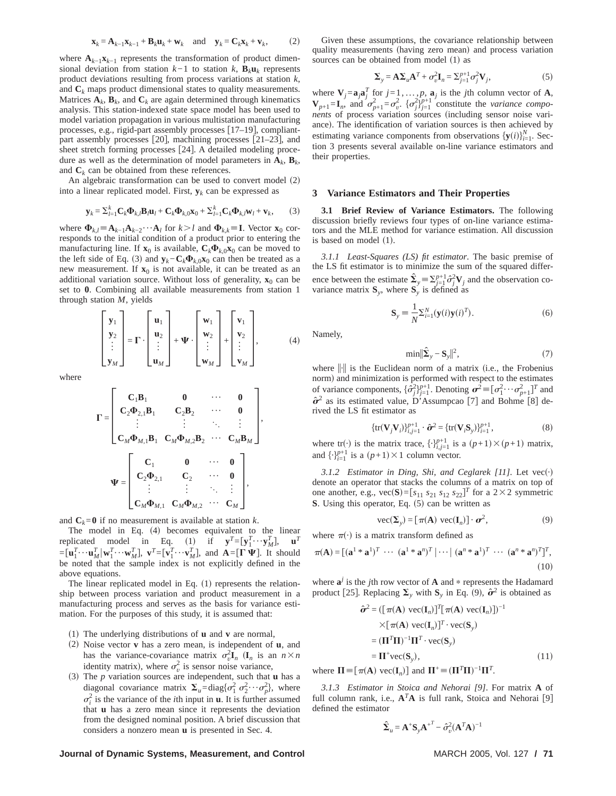$$
\mathbf{x}_{k} = \mathbf{A}_{k-1}\mathbf{x}_{k-1} + \mathbf{B}_{k}\mathbf{u}_{k} + \mathbf{w}_{k} \quad \text{and} \quad \mathbf{y}_{k} = \mathbf{C}_{k}\mathbf{x}_{k} + \mathbf{v}_{k}, \tag{2}
$$

where  $A_{k-1}X_{k-1}$  represents the transformation of product dimensional deviation from station  $k-1$  to station  $k$ ,  $\mathbf{B}_k \mathbf{u}_k$  represents product deviations resulting from process variations at station *k*, and  $C_k$  maps product dimensional states to quality measurements. Matrices  $A_k$ ,  $B_k$ , and  $C_k$  are again determined through kinematics analysis. This station-indexed state space model has been used to model variation propagation in various multistation manufacturing processes, e.g., rigid-part assembly processes  $[17–19]$ , compliantpart assembly processes  $[20]$ , machining processes  $[21-23]$ , and sheet stretch forming processes [24]. A detailed modeling procedure as well as the determination of model parameters in  $A_k$ ,  $B_k$ , and  $C_k$  can be obtained from these references.

An algebraic transformation can be used to convert model  $(2)$ into a linear replicated model. First,  $y_k$  can be expressed as

$$
\mathbf{y}_{k} = \sum_{l=1}^{k} \mathbf{C}_{k} \mathbf{\Phi}_{k,l} \mathbf{B}_{l} \mathbf{u}_{l} + \mathbf{C}_{k} \mathbf{\Phi}_{k,0} \mathbf{x}_{0} + \sum_{l=1}^{k} \mathbf{C}_{k} \mathbf{\Phi}_{k,l} \mathbf{w}_{l} + \mathbf{v}_{k},
$$
 (3)

where  $\Phi_{k,l} = \mathbf{A}_{k-1} \mathbf{A}_{k-2} \cdots \mathbf{A}_l$  for  $k > l$  and  $\Phi_{k,k} = \mathbf{I}$ . Vector  $\mathbf{x}_0$  corresponds to the initial condition of a product prior to entering the manufacturing line. If  $\mathbf{x}_0$  is available,  $\mathbf{C}_k \mathbf{\Phi}_{k,0} \mathbf{x}_0$  can be moved to the left side of Eq. (3) and  $\mathbf{y}_k - \mathbf{C}_k \mathbf{\Phi}_{k,0} \mathbf{x}_0$  can then be treated as a new measurement. If  $\mathbf{x}_0$  is not available, it can be treated as an additional variation source. Without loss of generality,  $\mathbf{x}_0$  can be set to **0**. Combining all available measurements from station 1 through station *M*, yields

$$
\begin{bmatrix} \mathbf{y}_1 \\ \mathbf{y}_2 \\ \vdots \\ \mathbf{y}_M \end{bmatrix} = \boldsymbol{\Gamma} \cdot \begin{bmatrix} \mathbf{u}_1 \\ \mathbf{u}_2 \\ \vdots \\ \mathbf{u}_M \end{bmatrix} + \boldsymbol{\Psi} \cdot \begin{bmatrix} \mathbf{w}_1 \\ \mathbf{w}_2 \\ \vdots \\ \mathbf{w}_M \end{bmatrix} + \begin{bmatrix} \mathbf{v}_1 \\ \mathbf{v}_2 \\ \vdots \\ \mathbf{v}_M \end{bmatrix},
$$
 (4)

where

$$
\Gamma = \begin{bmatrix} C_1B_1 & 0 & \cdots & 0 \\ C_2\Phi_{2,1}B_1 & C_2B_2 & \cdots & 0 \\ \vdots & \vdots & \ddots & \vdots \\ C_M\Phi_{M,1}B_1 & C_M\Phi_{M,2}B_2 & \cdots & C_MB_M \end{bmatrix},
$$
  

$$
\Psi = \begin{bmatrix} C_1 & 0 & \cdots & 0 \\ C_2\Phi_{2,1} & C_2 & \cdots & 0 \\ \vdots & \vdots & \ddots & \vdots \\ C_M\Phi_{M,1} & C_M\Phi_{M,2} & \cdots & C_M \end{bmatrix},
$$

and  $C_k = 0$  if no measurement is available at station *k*.

The model in Eq.  $(4)$  becomes equivalent to the linear replicated model in Eq. (1) if  $\mathbf{y}^T = [\mathbf{y}_1^T \cdots \mathbf{y}_M^T]$ ,  $\mathbf{u}^T$  $=\begin{bmatrix} \mathbf{u}_1^T \cdots \mathbf{u}_M^T \end{bmatrix} \begin{bmatrix} \mathbf{w}_1^T \cdots \mathbf{w}_M^T \end{bmatrix}$ ,  $\mathbf{v}^T = \begin{bmatrix} \mathbf{v}_1^T \cdots \mathbf{v}_M^T \end{bmatrix}$ , and  $\mathbf{A} = \begin{bmatrix} \mathbf{\Gamma} \ \mathbf{\Psi} \end{bmatrix}$ . It should be noted that the sample index is not explicitly defined in the above equations.

The linear replicated model in Eq.  $(1)$  represents the relationship between process variation and product measurement in a manufacturing process and serves as the basis for variance estimation. For the purposes of this study, it is assumed that:

- $(1)$  The underlying distributions of **u** and **v** are normal,
- $(2)$  Noise vector **v** has a zero mean, is independent of **u**, and has the variance-covariance matrix  $\sigma_v^2 \mathbf{I}_n$  ( $\mathbf{I}_n$  is an  $n \times n$ identity matrix), where  $\sigma_v^2$  is sensor noise variance,
- (3) The  $p$  variation sources are independent, such that **u** has a diagonal covariance matrix  $\Sigma_u = \text{diag}\{\sigma_1^2 \sigma_2^2 \cdots \sigma_p^2\}$ , where  $\sigma_i^2$  is the variance of the *i*th input in **u**. It is further assumed that **u** has a zero mean since it represents the deviation from the designed nominal position. A brief discussion that considers a nonzero mean **u** is presented in Sec. 4.

#### **Journal of Dynamic Systems, Measurement, and Control MALL ACCONST MARCH 2005, Vol. 127 / 71**

Given these assumptions, the covariance relationship between quality measurements (having zero mean) and process variation sources can be obtained from model  $(1)$  as

$$
\Sigma_{y} = A\Sigma_{u}A^{T} + \sigma_{v}^{2}\mathbf{I}_{n} = \Sigma_{j=1}^{p+1}\sigma_{j}^{2}\mathbf{V}_{j},
$$
\n(5)

where  $\mathbf{V}_j = \mathbf{a}_j \mathbf{a}_j^T$  for  $j = 1, \ldots, p$ ,  $\mathbf{a}_j$  is the *j*th column vector of **A**,  $\mathbf{V}_{p+1} = \mathbf{I}_n$ , and  $\sigma_{p+1}^2 = \sigma_v^2$ .  $\{\sigma_j^2\}_{j=1}^{p+1}$  constitute the *variance components* of process variation sources (including sensor noise variance). The identification of variation sources is then achieved by estimating variance components from observations  $\{y(i)\}_{i=1}^N$ . Section 3 presents several available on-line variance estimators and their properties.

#### **3 Variance Estimators and Their Properties**

**3.1 Brief Review of Variance Estimators.** The following discussion briefly reviews four types of on-line variance estimators and the MLE method for variance estimation. All discussion is based on model  $(1)$ .

*3.1.1 Least-Squares (LS) fit estimator*. The basic premise of the LS fit estimator is to minimize the sum of the squared difference between the estimate  $\hat{\Sigma}_y = \sum_{j=1}^{p+1} \hat{\sigma}_j^2 \mathbf{V}_j$  and the observation covariance matrix  $S_y$ , where  $S_y$  is defined as

$$
\mathbf{S}_{y} \equiv \frac{1}{N} \sum_{i=1}^{N} (\mathbf{y}(i)\mathbf{y}(i)^{T}).
$$
 (6)

Namely,

$$
\min \|\hat{\Sigma}_y - \mathbf{S}_y\|^2,\tag{7}
$$

where  $\|\cdot\|$  is the Euclidean norm of a matrix (i.e., the Frobenius norm) and minimization is performed with respect to the estimates of variance components,  $\{\hat{\sigma}_j^2\}_{j=1}^{p+1}$ . Denoting  $\sigma^2 \equiv [\sigma_1^2 \cdots \sigma_{p+1}^2]^T$  and  $\hat{\sigma}^2$  as its estimated value, D'Assumpcao [7] and Bohme [8] derived the LS fit estimator as

$$
\{\text{tr}(\mathbf{V}_j \mathbf{V}_i)\}_{i,j=1}^{p+1} \cdot \hat{\boldsymbol{\sigma}}^2 = \{\text{tr}(\mathbf{V}_i \mathbf{S}_y)\}_{i=1}^{p+1},
$$
\n(8)

where  $tr(\cdot)$  is the matrix trace,  $\{\cdot\}_{i,j=1}^{p+1}$  is a  $(p+1)\times(p+1)$  matrix, and  $\{\cdot\}_{i=1}^{p+1}$  is a  $(p+1) \times 1$  column vector.

*3.1.2 Estimator in Ding, Shi, and Ceglarek [11].* Let vec(.) denote an operator that stacks the columns of a matrix on top of one another, e.g.,  $\text{vec}(\mathbf{S}) = [s_{11} \ s_{21} \ s_{12} \ s_{22}]^T$  for a 2×2 symmetric **S**. Using this operator, Eq. (5) can be written as

$$
\text{vec}(\Sigma_y) = [\pi(\mathbf{A}) \text{vec}(\mathbf{I}_n)] \cdot \boldsymbol{\sigma}^2,\tag{9}
$$

where  $\pi(\cdot)$  is a matrix transform defined as

$$
\pi(\mathbf{A}) = [(\mathbf{a}^{1} * \mathbf{a}^{1})^{T} \cdots (\mathbf{a}^{1} * \mathbf{a}^{n})^{T} | \cdots | (\mathbf{a}^{n} * \mathbf{a}^{1})^{T} \cdots (\mathbf{a}^{n} * \mathbf{a}^{n})^{T}]^{T},
$$
\n(10)

where  $\mathbf{a}^j$  is the *j*th row vector of **A** and  $*$  represents the Hadamard product [25]. Replacing  $\Sigma$ <sub>*y*</sub> with  $S$ <sub>*y*</sub> in Eq. (9),  $\hat{\sigma}$ <sup>2</sup> is obtained as

$$
\hat{\sigma}^2 = (\llbracket \pi(\mathbf{A}) \text{ vec}(\mathbf{I}_n) \rrbracket^T \pi(\mathbf{A}) \text{ vec}(\mathbf{I}_n) \rrbracket)^{-1}
$$
  
× $\llbracket \pi(\mathbf{A}) \text{ vec}(\mathbf{I}_n) \rrbracket^T \cdot \text{ vec}(\mathbf{S}_y)$   
=  $(\mathbf{\Pi}^T \mathbf{\Pi})^{-1} \mathbf{\Pi}^T \cdot \text{ vec}(\mathbf{S}_y)$   
=  $\mathbf{\Pi}^+ \text{ vec}(\mathbf{S}_y)$ , (11)

where  $\Pi \equiv [\pi(\mathbf{A}) \text{ vec}(\mathbf{I}_n)]$  and  $\Pi^+ \equiv (\Pi^T \Pi)^{-1} \Pi^T$ .

*3.1.3 Estimator in Stoica and Nehorai [9]*. For matrix **A** of full column rank, i.e.,  $A^T A$  is full rank, Stoica and Nehorai [9] defined the estimator

$$
\hat{\Sigma}_u = \mathbf{A}^+ \mathbf{S}_y \mathbf{A}^{+T} - \hat{\sigma}_v^2 (\mathbf{A}^T \mathbf{A})^{-1}
$$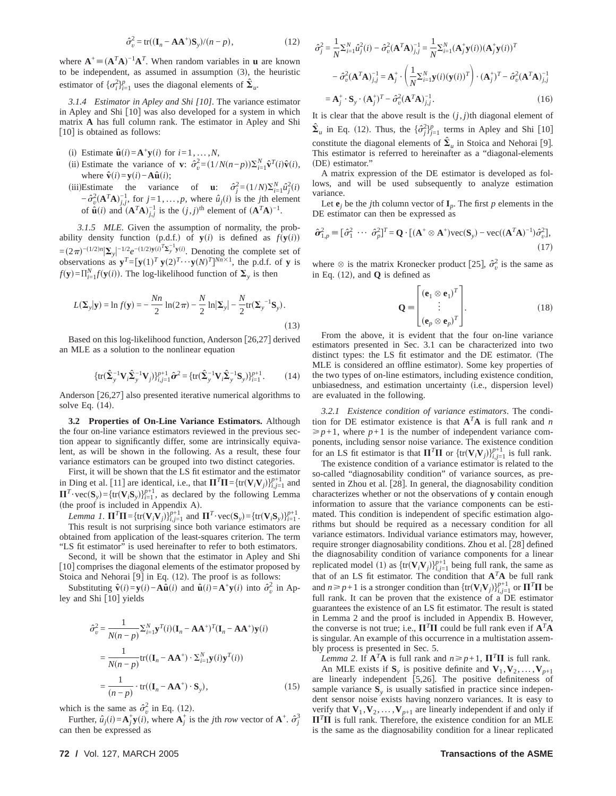$$
\hat{\sigma}_v^2 = \text{tr}((\mathbf{I}_n - \mathbf{A}\mathbf{A}^+) \mathbf{S}_y)/(n - p),\tag{12}
$$

where  $A^+ \equiv (A^T A)^{-1} A^T$ . When random variables in **u** are known to be independent, as assumed in assumption  $(3)$ , the heuristic estimator of  $\{\sigma_i^2\}_{i=1}^p$  uses the diagonal elements of  $\hat{\Sigma}_u$ .

*3.1.4 Estimator in Apley and Shi [10]*. The variance estimator in Apley and Shi  $[10]$  was also developed for a system in which matrix **A** has full column rank. The estimator in Apley and Shi [10] is obtained as follows:

- (i) Estimate  $\hat{\mathbf{u}}(i) = \mathbf{A}^+ \mathbf{y}(i)$  for  $i = 1, ..., N$ ,
- (ii) Estimate the variance of **v**:  $\hat{\sigma}_v^2 = (1/N(n-p))\sum_{i=1}^N \hat{\mathbf{v}}^T(i)\hat{\mathbf{v}}(i)$ , where  $\hat{\mathbf{v}}(i) = \mathbf{y}(i) - \mathbf{A}\hat{\mathbf{u}}(i);$
- (iii)Estimate the variance of **u**:  $\hat{\sigma}_j^2 = (1/N)\sum_{i=1}^N \hat{u}_j^2(i)$  $-\hat{\sigma}_v^2 (A^T A)^{-1}_{j,j}$ , for *j*=1, ..., *p*, where  $\hat{u}_j(i)$  is the *j*th element of  $\hat{\mathbf{u}}(i)$  and  $(\mathbf{A}^T \mathbf{A})_{j,j}^{-1}$  is the  $(j,j)$ <sup>th</sup> element of  $(\mathbf{A}^T \mathbf{A})^{-1}$ .

*3.1.5 MLE*. Given the assumption of normality, the probability density function (p.d.f.) of  $y(i)$  is defined as  $f(y(i))$  $=(2\pi)^{-(1/2)n} |\Sigma_y|^{-1/2} e^{-(1/2)\mathbf{y}(i)^T \Sigma_y^{-1} \mathbf{y}(i)}$ . Denoting the complete set of observations as  $\mathbf{y}^T = [\mathbf{y}(1)^T \mathbf{y}(2)^T \cdots \mathbf{y}(N)^T]^{N_n \times 1}$ , the p.d.f. of **y** is  $f(\mathbf{y}) = \prod_{i=1}^{N} f(\mathbf{y}(i))$ . The log-likelihood function of  $\Sigma_{y}$  is then

$$
L(\Sigma_{y}|\mathbf{y}) = \ln f(\mathbf{y}) = -\frac{Nn}{2}\ln(2\pi) - \frac{N}{2}\ln|\Sigma_{y}| - \frac{N}{2}\text{tr}(\Sigma_{y}^{-1}\mathbf{S}_{y}).
$$
\n(13)

Based on this log-likelihood function, Anderson  $[26,27]$  derived an MLE as a solution to the nonlinear equation

$$
\{tr(\hat{\Sigma}_y^{-1} \mathbf{V}_i \hat{\Sigma}_y^{-1} \mathbf{V}_j) \}_{i,j=1}^{p+1} \hat{\sigma}^2 = \{tr(\hat{\Sigma}_y^{-1} \mathbf{V}_i \hat{\Sigma}_y^{-1} \mathbf{S}_y) \}_{i=1}^{p+1}.
$$
 (14)

Anderson  $[26,27]$  also presented iterative numerical algorithms to solve Eq.  $(14)$ .

**3.2 Properties of On-Line Variance Estimators.** Although the four on-line variance estimators reviewed in the previous section appear to significantly differ, some are intrinsically equivalent, as will be shown in the following. As a result, these four variance estimators can be grouped into two distinct categories.

First, it will be shown that the LS fit estimator and the estimator in Ding et al. [11] are identical, i.e., that  $\Pi^T \Pi = \{tr(\mathbf{V}_i \mathbf{V}_j)\}_{i,j=1}^{p+1}$  and  $\Pi^T \cdot \text{vec}(\mathbf{S}_y) = \{\text{tr}(\mathbf{V}_i \mathbf{S}_y)\}_{i=1}^{p+1}$ , as declared by the following Lemma (the proof is included in Appendix A).

*Lemma 1*.  $\Pi^T \Pi = \{ \text{tr}(\mathbf{V}_i \mathbf{V}_j) \}_{i,j=1}^{p+1}$  and  $\Pi^T \cdot \text{vec}(\mathbf{S}_y) = \{ \text{tr}(\mathbf{V}_i \mathbf{S}_y) \}_{i=1}^{p+1}$ . This result is not surprising since both variance estimators are obtained from application of the least-squares criterion. The term "LS fit estimator" is used hereinafter to refer to both estimators.

Second, it will be shown that the estimator in Apley and Shi [10] comprises the diagonal elements of the estimator proposed by Stoica and Nehorai  $[9]$  in Eq. (12). The proof is as follows:

Substituting  $\hat{\mathbf{v}}(i) = \mathbf{y}(i) - \mathbf{A}\hat{\mathbf{u}}(i)$  and  $\hat{\mathbf{u}}(i) = \mathbf{A}^+\mathbf{y}(i)$  into  $\hat{\sigma}_v^2$  in Apley and Shi [10] yields

$$
\hat{\sigma}_v^2 = \frac{1}{N(n-p)} \sum_{i=1}^N \mathbf{y}^T(i) (\mathbf{I}_n - \mathbf{A} \mathbf{A}^+)^T (\mathbf{I}_n - \mathbf{A} \mathbf{A}^+) \mathbf{y}(i)
$$

$$
= \frac{1}{N(n-p)} tr((\mathbf{I}_n - \mathbf{A} \mathbf{A}^+) \cdot \sum_{i=1}^N \mathbf{y}(i) \mathbf{y}^T(i))
$$

$$
= \frac{1}{(n-p)} \cdot tr((\mathbf{I}_n - \mathbf{A} \mathbf{A}^+) \cdot \mathbf{S}_y),
$$
(15)

which is the same as  $\hat{\sigma}_v^2$  in Eq. (12).

Further,  $\hat{u}_j(i) = \mathbf{A}_j^+ \mathbf{y}(i)$ , where  $\mathbf{A}_j^+$  is the *j*th *row* vector of  $\mathbf{A}^+$ .  $\hat{\sigma}_j^3$ can then be expressed as

$$
\hat{\sigma}_j^2 = \frac{1}{N} \sum_{i=1}^N \hat{u}_j^2(i) - \hat{\sigma}_v^2 (\mathbf{A}^T \mathbf{A})_{j,j}^{-1} = \frac{1}{N} \sum_{i=1}^N (\mathbf{A}_j^+ \mathbf{y}(i)) (\mathbf{A}_j^+ \mathbf{y}(i))^T
$$

$$
- \hat{\sigma}_v^2 (\mathbf{A}^T \mathbf{A})_{j,j}^{-1} = \mathbf{A}_j^+ \cdot \left( \frac{1}{N} \sum_{i=1}^N \mathbf{y}(i) (\mathbf{y}(i))^T \right) \cdot (\mathbf{A}_j^+)^T - \hat{\sigma}_v^2 (\mathbf{A}^T \mathbf{A})_{j,j}^{-1}
$$

$$
= \mathbf{A}_j^+ \cdot \mathbf{S}_y \cdot (\mathbf{A}_j^+)^T - \hat{\sigma}_v^2 (\mathbf{A}^T \mathbf{A})_{j,j}^{-1}.
$$
(16)

It is clear that the above result is the  $(j, j)$ th diagonal element of  $\hat{\Sigma}_u$  in Eq. (12). Thus, the  $\{\hat{\sigma}^2_j\}_{j=1}^p$  terms in Apley and Shi [10] constitute the diagonal elements of  $\hat{\Sigma}_u$  in Stoica and Nehorai [9]. This estimator is referred to hereinafter as a "diagonal-elements (DE) estimator."

A matrix expression of the DE estimator is developed as follows, and will be used subsequently to analyze estimation variance.

Let  $e_i$  be the *j*th column vector of  $I_p$ . The first *p* elements in the DE estimator can then be expressed as

$$
\hat{\sigma}_{1,p}^2 \equiv [\hat{\sigma}_1^2 \cdots \hat{\sigma}_p^2]^T = \mathbf{Q} \cdot [(\mathbf{A}^+ \otimes \mathbf{A}^+) \text{vec}(\mathbf{S}_y) - \text{vec}((\mathbf{A}^T \mathbf{A})^{-1}) \hat{\sigma}_v^2],
$$
\n(17)

where  $\otimes$  is the matrix Kronecker product [25],  $\hat{\sigma}_v^2$  is the same as in Eq.  $(12)$ , and **Q** is defined as

$$
\mathbf{Q} = \begin{bmatrix} (\mathbf{e}_1 \otimes \mathbf{e}_1)^T \\ \vdots \\ (\mathbf{e}_p \otimes \mathbf{e}_p)^T \end{bmatrix} . \tag{18}
$$

From the above, it is evident that the four on-line variance estimators presented in Sec. 3.1 can be characterized into two distinct types: the LS fit estimator and the DE estimator. (The MLE is considered an offline estimator). Some key properties of the two types of on-line estimators, including existence condition, unbiasedness, and estimation uncertainty (i.e., dispersion level) are evaluated in the following.

*3.2.1 Existence condition of variance estimators*. The condition for DE estimator existence is that  $A<sup>T</sup>A$  is full rank and *n*  $\geq p+1$ , where  $p+1$  is the number of independent variance components, including sensor noise variance. The existence condition for an LS fit estimator is that  $\Pi^T\Pi$  or  $\{\text{tr}(\mathbf{V}_i\mathbf{V}_j)\}_{i,j=1}^{p+1}$  is full rank.

The existence condition of a variance estimator is related to the so-called "diagnosability condition" of variance sources, as presented in Zhou et al. [28]. In general, the diagnosability condition characterizes whether or not the observations of **y** contain enough information to assure that the variance components can be estimated. This condition is independent of specific estimation algorithms but should be required as a necessary condition for all variance estimators. Individual variance estimators may, however, require stronger diagnosability conditions. Zhou et al. [28] defined the diagnosability condition of variance components for a linear replicated model (1) as  $\{tr(\mathbf{V}_i \mathbf{V}_j) \}_{i,j=1}^{p+1}$  being full rank, the same as that of an LS fit estimator. The condition that  $A<sup>T</sup>A$  be full rank and  $n \geq p+1$  is a stronger condition than  $\{\text{tr}(\mathbf{V}_i\mathbf{V}_j)\}_{i,j=1}^{p+1}$  or  $\mathbf{\Pi}^T\mathbf{\Pi}$  be full rank. It can be proven that the existence of a DE estimator guarantees the existence of an LS fit estimator. The result is stated in Lemma 2 and the proof is included in Appendix B. However, the converse is not true; i.e.,  $\Pi^T\Pi$  could be full rank even if  $A^T A$ is singular. An example of this occurrence in a multistation assembly process is presented in Sec. 5.

*Lemma* 2. If  $\mathbf{A}^T \mathbf{A}$  is full rank and  $n \geq p+1$ ,  $\mathbf{\Pi}^T \mathbf{\Pi}$  is full rank.

An MLE exists if  $S_y$  is positive definite and  $V_1, V_2, \ldots, V_{p+1}$ are linearly independent  $[5,26]$ . The positive definiteness of sample variance  $S_y$  is usually satisfied in practice since independent sensor noise exists having nonzero variances. It is easy to verify that  $V_1, V_2, \ldots, V_{p+1}$  are linearly independent if and only if  $\Pi^T\Pi$  is full rank. Therefore, the existence condition for an MLE is the same as the diagnosability condition for a linear replicated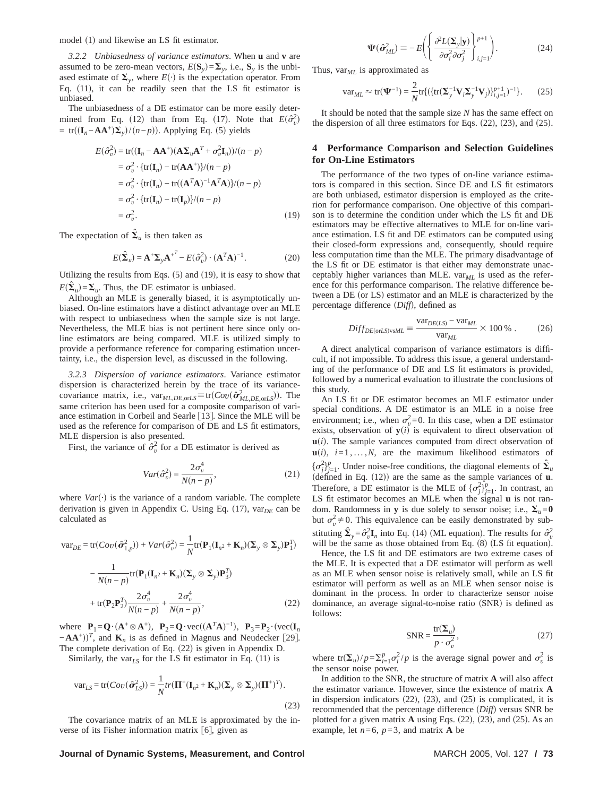model  $(1)$  and likewise an LS fit estimator.

*3.2.2 Unbiasedness of variance estimators*. When **u** and **v** are assumed to be zero-mean vectors,  $E(S_y) = \sum_{y}$ , i.e.,  $S_y$  is the unbiased estimate of  $\Sigma_{\nu}$ , where  $E(\cdot)$  is the expectation operator. From Eq.  $(11)$ , it can be readily seen that the LS fit estimator is unbiased.

The unbiasedness of a DE estimator can be more easily determined from Eq. (12) than from Eq. (17). Note that  $E(\hat{\sigma}_v^2)$  $=$  tr( $(I_n - AA^+) \Sigma_y$ )/ $(n-p)$ ). Applying Eq. (5) yields

$$
E(\hat{\sigma}_v^2) = \text{tr}((\mathbf{I}_n - \mathbf{A}\mathbf{A}^+)(\mathbf{A}\Sigma_u\mathbf{A}^T + \sigma_v^2\mathbf{I}_n))/(n - p)
$$
  
\n
$$
= \sigma_v^2 \cdot {\text{tr}(\mathbf{I}_n) - \text{tr}(\mathbf{A}\mathbf{A}^+)}/(n - p)
$$
  
\n
$$
= \sigma_v^2 \cdot {\text{tr}(\mathbf{I}_n) - \text{tr}((\mathbf{A}^T\mathbf{A})^{-1}\mathbf{A}^T\mathbf{A})}/(n - p)
$$
  
\n
$$
= \sigma_v^2 \cdot {\text{tr}(\mathbf{I}_n) - \text{tr}(\mathbf{I}_p)}/(n - p)
$$
  
\n
$$
= \sigma_v^2.
$$
 (19)

The expectation of  $\hat{\Sigma}_u$  is then taken as

$$
E(\hat{\boldsymbol{\Sigma}}_u) = \mathbf{A}^+ \boldsymbol{\Sigma}_y \mathbf{A}^{+T} - E(\hat{\sigma}_v^2) \cdot (\mathbf{A}^T \mathbf{A})^{-1}.
$$
 (20)

Utilizing the results from Eqs.  $(5)$  and  $(19)$ , it is easy to show that  $E(\Sigma_u) = \Sigma_u$ . Thus, the DE estimator is unbiased.

Although an MLE is generally biased, it is asymptotically unbiased. On-line estimators have a distinct advantage over an MLE with respect to unbiasedness when the sample size is not large. Nevertheless, the MLE bias is not pertinent here since only online estimators are being compared. MLE is utilized simply to provide a performance reference for comparing estimation uncertainty, i.e., the dispersion level, as discussed in the following.

*3.2.3 Dispersion of variance estimators*. Variance estimator dispersion is characterized herein by the trace of its variancecovariance matrix, i.e.,  $var_{ML,DE, \text{or}LS} \equiv \text{tr}(Cov(\hat{\sigma}_{ML,DE, \text{or}LS}^2))$ . The same criterion has been used for a composite comparison of variance estimation in Corbeil and Searle  $[13]$ . Since the MLE will be used as the reference for comparison of DE and LS fit estimators, MLE dispersion is also presented.

First, the variance of  $\hat{\sigma}_v^2$  for a DE estimator is derived as

$$
Var(\hat{\sigma}_v^2) = \frac{2\sigma_v^4}{N(n-p)},
$$
\n(21)

where  $Var(\cdot)$  is the variance of a random variable. The complete derivation is given in Appendix C. Using Eq. (17), var<sub>DE</sub> can be calculated as

$$
\text{var}_{DE} = \text{tr}(Cov(\hat{\sigma}_{1,p}^2)) + Var(\hat{\sigma}_v^2) = \frac{1}{N} \text{tr}(\mathbf{P}_1(\mathbf{I}_{n^2} + \mathbf{K}_n)(\mathbf{\Sigma}_y \otimes \mathbf{\Sigma}_y)\mathbf{P}_1^T)
$$

$$
- \frac{1}{N(n-p)} \text{tr}(\mathbf{P}_1(\mathbf{I}_{n^2} + \mathbf{K}_n)(\mathbf{\Sigma}_y \otimes \mathbf{\Sigma}_y)\mathbf{P}_3^T)
$$

$$
+ \text{tr}(\mathbf{P}_2\mathbf{P}_2^T)\frac{2\sigma_v^4}{N(n-p)} + \frac{2\sigma_v^4}{N(n-p)}, \qquad (22)
$$

where  $\mathbf{P}_1 = \mathbf{Q} \cdot (\mathbf{A}^+ \otimes \mathbf{A}^+), \ \mathbf{P}_2 = \mathbf{Q} \cdot \text{vec}((\mathbf{A}^T \mathbf{A})^{-1}), \ \mathbf{P}_3 = \mathbf{P}_2 \cdot (\text{vec}(\mathbf{I}_n))$  $(-AA^+ )^T$ , and  $\mathbf{K}_n$  is as defined in Magnus and Neudecker [29]. The complete derivation of Eq.  $(22)$  is given in Appendix D.

Similarly, the var<sub>LS</sub> for the LS fit estimator in Eq.  $(11)$  is

$$
\text{var}_{LS} = \text{tr}(Cov(\hat{\sigma}_{LS}^2)) = \frac{1}{N} tr(\Pi^+(\mathbf{I}_{n^2} + \mathbf{K}_n)(\mathbf{\Sigma}_y \otimes \mathbf{\Sigma}_y)(\Pi^+)^T).
$$
\n(23)

The covariance matrix of an MLE is approximated by the inverse of its Fisher information matrix  $[6]$ , given as

$$
\mathbf{\Psi}(\hat{\boldsymbol{\sigma}}_{ML}^2) \equiv -E \bigg( \left\{ \frac{\partial^2 L(\mathbf{\Sigma}_y | \mathbf{y})}{\partial \sigma_i^2 \partial \sigma_j^2} \right\}_{i,j=1}^{p+1} \bigg). \tag{24}
$$

Thus,  $var_{ML}$  is approximated as

$$
\text{var}_{ML} \approx \text{tr}(\mathbf{\Psi}^{-1}) = \frac{2}{N} \text{tr}\{ (\{\text{tr}(\mathbf{\Sigma}_y^{-1} \mathbf{V}_i \mathbf{\Sigma}_y^{-1} \mathbf{V}_j)\}_{i,j=1}^{p+1})^{-1} \}. \tag{25}
$$

It should be noted that the sample size *N* has the same effect on the dispersion of all three estimators for Eqs.  $(22)$ ,  $(23)$ , and  $(25)$ .

### **4 Performance Comparison and Selection Guidelines for On-Line Estimators**

The performance of the two types of on-line variance estimators is compared in this section. Since DE and LS fit estimators are both unbiased, estimator dispersion is employed as the criterion for performance comparison. One objective of this comparison is to determine the condition under which the LS fit and DE estimators may be effective alternatives to MLE for on-line variance estimation. LS fit and DE estimators can be computed using their closed-form expressions and, consequently, should require less computation time than the MLE. The primary disadvantage of the LS fit or DE estimator is that either may demonstrate unacceptably higher variances than MLE. var $_{ML}$  is used as the reference for this performance comparison. The relative difference between a DE (or LS) estimator and an MLE is characterized by the percentage difference (Diff), defined as

$$
Diff_{DE(\text{or}LS)\text{vs}ML} = \frac{\text{var}_{DE(LS)} - \text{var}_{ML}}{\text{var}_{ML}} \times 100\% \tag{26}
$$

A direct analytical comparison of variance estimators is difficult, if not impossible. To address this issue, a general understanding of the performance of DE and LS fit estimators is provided, followed by a numerical evaluation to illustrate the conclusions of this study.

An LS fit or DE estimator becomes an MLE estimator under special conditions. A DE estimator is an MLE in a noise free environment; i.e., when  $\sigma_v^2 = 0$ . In this case, when a DE estimator exists, observation of  $y(i)$  is equivalent to direct observation of  $\mathbf{u}(i)$ . The sample variances computed from direct observation of  $\mathbf{u}(i)$ ,  $i=1,\ldots,N$ , are the maximum likelihood estimators of  $\{\sigma_j^2\}_{j=1}^p$ . Under noise-free conditions, the diagonal elements of  $\hat{\Sigma}_u$ (defined in Eq.  $(12)$ ) are the same as the sample variances of **.** Therefore, a DE estimator is the MLE of  $\{\sigma_j^2\}_{j=1}^p$ . In contrast, an LS fit estimator becomes an MLE when the signal **u** is not random. Randomness in **y** is due solely to sensor noise; i.e.,  $\Sigma_u = 0$ but  $\sigma_v^2 \neq 0$ . This equivalence can be easily demonstrated by substituting  $\hat{\Sigma}_y = \hat{\sigma}_v^2 \mathbf{I}_n$  into Eq. (14) (ML equation). The results for  $\hat{\sigma}_v^2$ will be the same as those obtained from Eq.  $(8)$  (LS fit equation).

Hence, the LS fit and DE estimators are two extreme cases of the MLE. It is expected that a DE estimator will perform as well as an MLE when sensor noise is relatively small, while an LS fit estimator will perform as well as an MLE when sensor noise is dominant in the process. In order to characterize sensor noise dominance, an average signal-to-noise ratio (SNR) is defined as follows:

$$
SNR = \frac{\text{tr}(\Sigma_u)}{p \cdot \sigma_v^2},\tag{27}
$$

where  $tr(\Sigma_u)/p = \sum_{i=1}^p \sigma_i^2/p$  is the average signal power and  $\sigma_v^2$  is the sensor noise power.

In addition to the SNR, the structure of matrix **A** will also affect the estimator variance. However, since the existence of matrix **A** in dispersion indicators  $(22)$ ,  $(23)$ , and  $(25)$  is complicated, it is recommended that the percentage difference (*Diff*) versus SNR be plotted for a given matrix  $A$  using Eqs.  $(22)$ ,  $(23)$ , and  $(25)$ . As an example, let  $n=6$ ,  $p=3$ , and matrix **A** be

#### **Journal of Dynamic Systems, Measurement, and Control MALL ACCONST MARCH 2005, Vol. 127 / 73**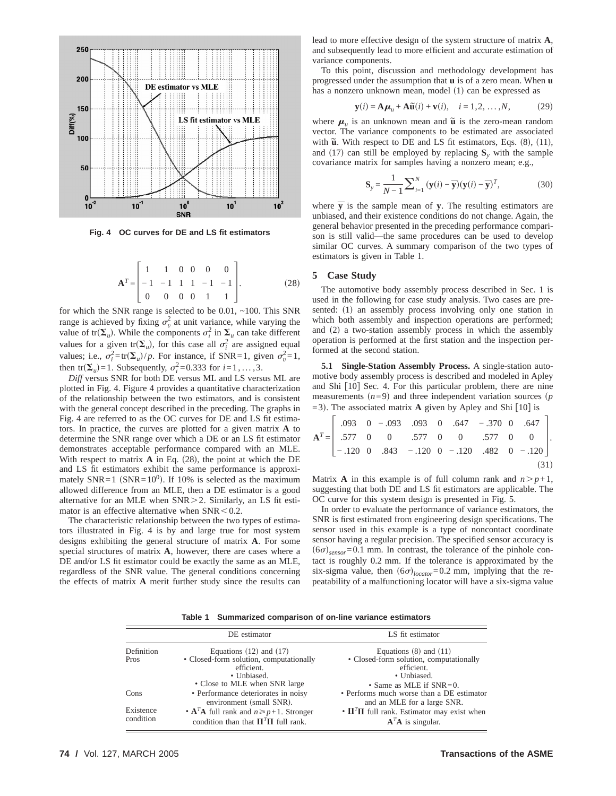

**Fig. 4 OC curves for DE and LS fit estimators**

$$
\mathbf{A}^T = \begin{bmatrix} 1 & 1 & 0 & 0 & 0 & 0 \\ -1 & -1 & 1 & 1 & -1 & -1 \\ 0 & 0 & 0 & 0 & 1 & 1 \end{bmatrix}.
$$
 (28)

for which the SNR range is selected to be 0.01, ~100. This SNR range is achieved by fixing  $\sigma_v^2$  at unit variance, while varying the value of tr( $\Sigma_u$ ). While the components  $\sigma_i^2$  in  $\Sigma_u$  can take different values for a given  $tr(\Sigma_u)$ , for this case all  $\sigma_i^2$  are assigned equal values; i.e.,  $\sigma_i^2 = \text{tr}(\Sigma_u)/p$ . For instance, if SNR=1, given  $\sigma_v^2 = 1$ , then tr( $\Sigma_u$ )=1. Subsequently,  $\sigma_i^2$ =0.333 for *i*=1, ..., 3.

*Diff* versus SNR for both DE versus ML and LS versus ML are plotted in Fig. 4. Figure 4 provides a quantitative characterization of the relationship between the two estimators, and is consistent with the general concept described in the preceding. The graphs in Fig. 4 are referred to as the OC curves for DE and LS fit estimators. In practice, the curves are plotted for a given matrix **A** to determine the SNR range over which a DE or an LS fit estimator demonstrates acceptable performance compared with an MLE. With respect to matrix  $A$  in Eq.  $(28)$ , the point at which the DE and LS fit estimators exhibit the same performance is approximately SNR=1 (SNR=10<sup>0</sup>). If 10% is selected as the maximum allowed difference from an MLE, then a DE estimator is a good alternative for an MLE when  $SNR > 2$ . Similarly, an LS fit estimator is an effective alternative when  $SNR < 0.2$ .

The characteristic relationship between the two types of estimators illustrated in Fig. 4 is by and large true for most system designs exhibiting the general structure of matrix **A**. For some special structures of matrix **A**, however, there are cases where a DE and/or LS fit estimator could be exactly the same as an MLE, regardless of the SNR value. The general conditions concerning the effects of matrix **A** merit further study since the results can lead to more effective design of the system structure of matrix **A**, and subsequently lead to more efficient and accurate estimation of variance components.

To this point, discussion and methodology development has progressed under the assumption that **u** is of a zero mean. When **u** has a nonzero unknown mean, model  $(1)$  can be expressed as

$$
\mathbf{y}(i) = \mathbf{A}\boldsymbol{\mu}_u + \mathbf{A}\tilde{\mathbf{u}}(i) + \mathbf{v}(i), \quad i = 1, 2, ..., N,
$$
 (29)

where  $\mu_u$  is an unknown mean and  $\tilde{u}$  is the zero-mean random vector. The variance components to be estimated are associated with  $\tilde{u}$ . With respect to DE and LS fit estimators, Eqs.  $(8)$ ,  $(11)$ , and (17) can still be employed by replacing  $S_y$  with the sample covariance matrix for samples having a nonzero mean; e.g.,

$$
\mathbf{S}_y = \frac{1}{N-1} \sum_{i=1}^N (\mathbf{y}(i) - \overline{\mathbf{y}})(\mathbf{y}(i) - \overline{\mathbf{y}})^T, \tag{30}
$$

where  $\bar{y}$  is the sample mean of **y**. The resulting estimators are unbiased, and their existence conditions do not change. Again, the general behavior presented in the preceding performance comparison is still valid—the same procedures can be used to develop similar OC curves. A summary comparison of the two types of estimators is given in Table 1.

#### **5 Case Study**

The automotive body assembly process described in Sec. 1 is used in the following for case study analysis. Two cases are presented: (1) an assembly process involving only one station in which both assembly and inspection operations are performed; and  $(2)$  a two-station assembly process in which the assembly operation is performed at the first station and the inspection performed at the second station.

**5.1 Single-Station Assembly Process.** A single-station automotive body assembly process is described and modeled in Apley and Shi [10] Sec. 4. For this particular problem, there are nine measurements  $(n=9)$  and three independent variation sources  $(p)$  $=$ 3). The associated matrix **A** given by Apley and Shi [10] is

$$
\mathbf{A}^T = \begin{bmatrix} .093 & 0 & -.093 & .093 & 0 & .647 & -.370 & 0 & .647 \\ .577 & 0 & 0 & .577 & 0 & 0 & .577 & 0 & 0 \\ -.120 & 0 & .843 & -.120 & 0 & -.120 & .482 & 0 & -.120 \\ (31) & 0 & 0 & 0 & 0 & 0 & 0 \\ 0 & 0 & 0 & 0 & 0 & 0 & 0 \\ 0 & 0 & 0 & 0 & 0 & 0 & 0 \\ 0 & 0 & 0 & 0 & 0 & 0 & 0 \\ 0 & 0 & 0 & 0 & 0 & 0 & 0 \\ 0 & 0 & 0 & 0 & 0 & 0 & 0 \\ 0 & 0 & 0 & 0 & 0 & 0 & 0 \\ 0 & 0 & 0 & 0 & 0 & 0 & 0 \\ 0 & 0 & 0 & 0 & 0 & 0 & 0 \\ 0 & 0 & 0 & 0 & 0 & 0 & 0 \\ 0 & 0 & 0 & 0 & 0 & 0 & 0 \\ 0 & 0 & 0 & 0 & 0 & 0 & 0 \\ 0 & 0 & 0 & 0 & 0 & 0 & 0 \\ 0 & 0 & 0 & 0 & 0 & 0 & 0 \\ 0 & 0 & 0 & 0 & 0 & 0 & 0 \\ 0 & 0 & 0 & 0 & 0 & 0 & 0 \\ 0 & 0 & 0 & 0 & 0 & 0 & 0 \\ 0 & 0 & 0 & 0 & 0 &
$$

Matrix **A** in this example is of full column rank and  $n > p+1$ , suggesting that both DE and LS fit estimators are applicable. The OC curve for this system design is presented in Fig. 5.

In order to evaluate the performance of variance estimators, the SNR is first estimated from engineering design specifications. The sensor used in this example is a type of noncontact coordinate sensor having a regular precision. The specified sensor accuracy is  $(6\sigma)_{sensor}=0.1$  mm. In contrast, the tolerance of the pinhole contact is roughly 0.2 mm. If the tolerance is approximated by the six-sigma value, then  $(6\sigma)_{locator}=0.2$  mm, implying that the repeatability of a malfunctioning locator will have a six-sigma value

**Table 1 Summarized comparison of on-line variance estimators**

|                        | DE estimator                                                                                 | LS fit estimator                                                                    |
|------------------------|----------------------------------------------------------------------------------------------|-------------------------------------------------------------------------------------|
| Definition             | Equations $(12)$ and $(17)$<br>• Closed-form solution, computationally                       | Equations (8) and (11)<br>• Closed-form solution, computationally                   |
| Pros                   | efficient.<br>• Unbiased.                                                                    | efficient.<br>• Unbiased.                                                           |
|                        | • Close to MLE when SNR large                                                                | • Same as MLE if $SNR = 0$ .                                                        |
| Cons                   | • Performance deteriorates in noisy<br>environment (small SNR).                              | • Performs much worse than a DE estimator<br>and an MLE for a large SNR.            |
| Existence<br>condition | • $A^T A$ full rank and $n \geq p+1$ . Stronger<br>condition than that $\Pi^T\Pi$ full rank. | • $\Pi^T\Pi$ full rank. Estimator may exist when<br>${\bf A}^T{\bf A}$ is singular. |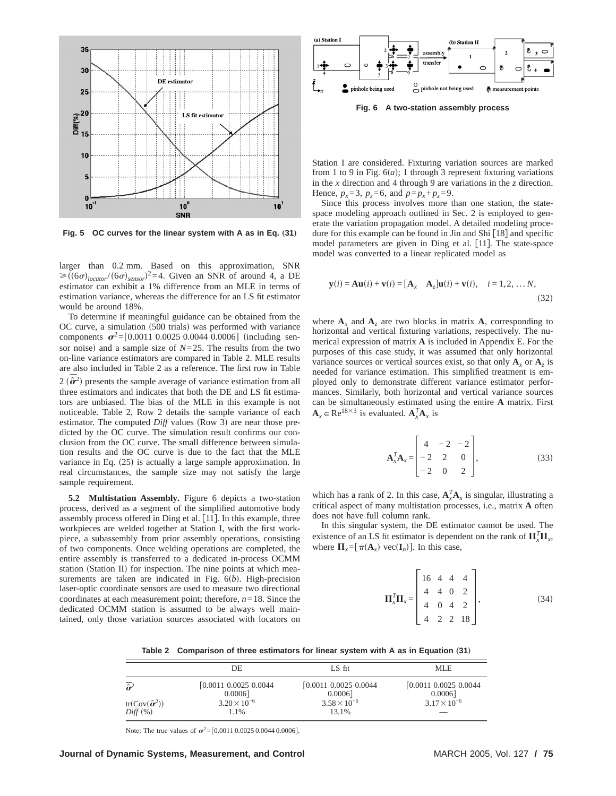

Fig. 5 OC curves for the linear system with A as in Eq. (31)

larger than 0.2 mm. Based on this approximation, SNR  $\geqslant \left(\frac{6\sigma}{\text{100\,k} \cdot \text{100}}\right)^2 = 4$ . Given an SNR of around 4, a DE estimator can exhibit a 1% difference from an MLE in terms of estimation variance, whereas the difference for an LS fit estimator would be around 18%.

To determine if meaningful guidance can be obtained from the OC curve, a simulation (500 trials) was performed with variance components  $\sigma^2 = [0.0011 \ 0.0025 \ 0.0044 \ 0.0006]$  (including sensor noise) and a sample size of  $N=25$ . The results from the two on-line variance estimators are compared in Table 2. MLE results are also included in Table 2 as a reference. The first row in Table

 $2(\vec{\delta}^2)$  presents the sample average of variance estimation from all three estimators and indicates that both the DE and LS fit estimators are unbiased. The bias of the MLE in this example is not noticeable. Table 2, Row 2 details the sample variance of each estimator. The computed *Diff* values (Row 3) are near those predicted by the OC curve. The simulation result confirms our conclusion from the OC curve. The small difference between simulation results and the OC curve is due to the fact that the MLE variance in Eq.  $(25)$  is actually a large sample approximation. In real circumstances, the sample size may not satisfy the large sample requirement.

**5.2 Multistation Assembly.** Figure 6 depicts a two-station process, derived as a segment of the simplified automotive body assembly process offered in Ding et al. [11]. In this example, three workpieces are welded together at Station I, with the first workpiece, a subassembly from prior assembly operations, consisting of two components. Once welding operations are completed, the entire assembly is transferred to a dedicated in-process OCMM station (Station II) for inspection. The nine points at which measurements are taken are indicated in Fig.  $6(b)$ . High-precision laser-optic coordinate sensors are used to measure two directional coordinates at each measurement point; therefore, *n*=18. Since the dedicated OCMM station is assumed to be always well maintained, only those variation sources associated with locators on



**Fig. 6 A two-station assembly process**

Station I are considered. Fixturing variation sources are marked from 1 to 9 in Fig.  $6(a)$ ; 1 through 3 represent fixturing variations in the *x* direction and 4 through 9 are variations in the *z* direction. Hence,  $p_x = 3$ ,  $p_z = 6$ , and  $p = p_x + p_z = 9$ .

Since this process involves more than one station, the statespace modeling approach outlined in Sec. 2 is employed to generate the variation propagation model. A detailed modeling procedure for this example can be found in Jin and Shi  $\lceil 18 \rceil$  and specific model parameters are given in Ding et al. [11]. The state-space model was converted to a linear replicated model as

$$
\mathbf{y}(i) = \mathbf{A}\mathbf{u}(i) + \mathbf{v}(i) = [\mathbf{A}_x \quad \mathbf{A}_z] \mathbf{u}(i) + \mathbf{v}(i), \quad i = 1, 2, \dots N,
$$
\n(32)

where  $\mathbf{A}_x$  and  $\mathbf{A}_z$  are two blocks in matrix  $\mathbf{A}_x$ , corresponding to horizontal and vertical fixturing variations, respectively. The numerical expression of matrix **A** is included in Appendix E. For the purposes of this case study, it was assumed that only horizontal variance sources or vertical sources exist, so that only  $A<sub>x</sub>$  or  $A<sub>z</sub>$  is needed for variance estimation. This simplified treatment is employed only to demonstrate different variance estimator performances. Similarly, both horizontal and vertical variance sources can be simultaneously estimated using the entire **A** matrix. First  $\mathbf{A}_x \in \text{Re}^{18 \times 3}$  is evaluated.  $\mathbf{A}_x^T \mathbf{A}_x$  is

$$
\mathbf{A}_{x}^{T} \mathbf{A}_{x} = \begin{bmatrix} 4 & -2 & -2 \\ -2 & 2 & 0 \\ -2 & 0 & 2 \end{bmatrix},
$$
 (33)

which has a rank of 2. In this case,  $A_x^T A_x$  is singular, illustrating a critical aspect of many multistation processes, i.e., matrix **A** often does not have full column rank.

In this singular system, the DE estimator cannot be used. The existence of an LS fit estimator is dependent on the rank of  $\mathbf{\Pi}_{x}^{T} \mathbf{\Pi}_{x}$ , where  $\Pi$ <sub>x</sub>= $\pi$ (**A**<sub>x</sub>) vec(**I**<sub>n</sub>)</sub>]. In this case,

$$
\mathbf{H}_{x}^{T} \mathbf{H}_{x} = \begin{bmatrix} 16 & 4 & 4 & 4 \\ 4 & 4 & 0 & 2 \\ 4 & 0 & 4 & 2 \\ 4 & 2 & 2 & 18 \end{bmatrix}, \tag{34}
$$

Table 2 Comparison of three estimators for linear system with A as in Equation (31)

|                                                    | DE                                                                  | LS fit                                                              | MLE                                                             |
|----------------------------------------------------|---------------------------------------------------------------------|---------------------------------------------------------------------|-----------------------------------------------------------------|
| $\hat{\sigma}^2$                                   | $[0.0011 \ 0.0025 \ 0.0044]$<br>$0.0006$ ]<br>$3.20 \times 10^{-6}$ | $[0.0011 \ 0.0025 \ 0.0044]$<br>$0.0006$ ]<br>$3.58 \times 10^{-6}$ | $[0.0011 \ 0.0025 \ 0.0044]$<br>0.0006<br>$3.17 \times 10^{-6}$ |
| $tr(Cov(\hat{\boldsymbol{\sigma}}^2))$<br>Diff (%) | 1.1%                                                                | 13.1%                                                               |                                                                 |

Note: The true values of  $\sigma^2 = [0.0011 \, 0.0025 \, 0.0044 \, 0.0006]$ .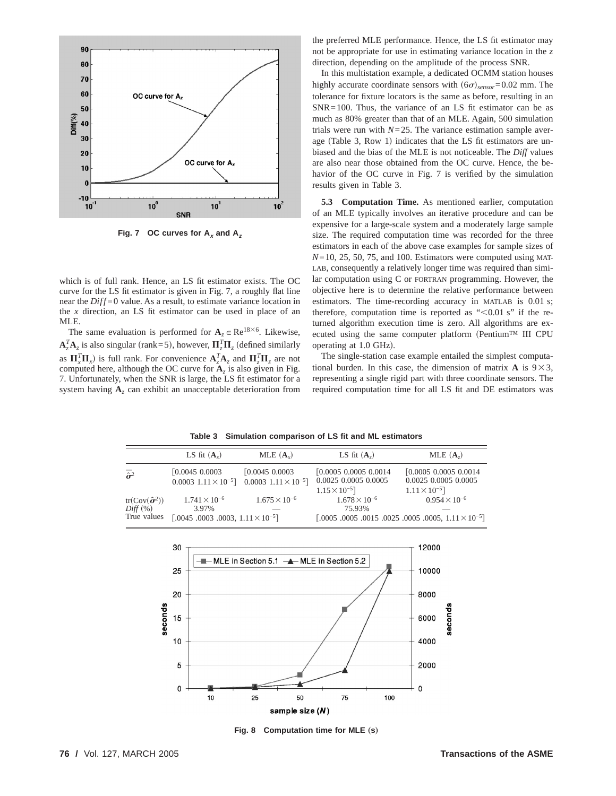

**Fig. 7** OC curves for  $A_x$  and  $A_z$ 

which is of full rank. Hence, an LS fit estimator exists. The OC curve for the LS fit estimator is given in Fig. 7, a roughly flat line near the *Diff*=0 value. As a result, to estimate variance location in the  $x$  direction, an LS fit estimator can be used in place of an MLE.

The same evaluation is performed for  $A_z \in \text{Re}^{18 \times 6}$ . Likewise,  $\mathbf{A}_z^T \mathbf{A}_z$  is also singular (rank=5), however,  $\mathbf{\Pi}_z^T \mathbf{\Pi}_z$  (defined similarly as  $\Pi_x^T \Pi_x$ ) is full rank. For convenience  $\mathbf{A}_z^T \mathbf{A}_z$  and  $\mathbf{B}_z^T \Pi_z$  are not computed here, although the OC curve for **A***<sup>z</sup>* is also given in Fig. 7. Unfortunately, when the SNR is large, the LS fit estimator for a system having  $A<sub>z</sub>$  can exhibit an unacceptable deterioration from the preferred MLE performance. Hence, the LS fit estimator may not be appropriate for use in estimating variance location in the *z* direction, depending on the amplitude of the process SNR.

In this multistation example, a dedicated OCMM station houses highly accurate coordinate sensors with  $(6\sigma)_{sensor}=0.02$  mm. The tolerance for fixture locators is the same as before, resulting in an  $SNR = 100$ . Thus, the variance of an LS fit estimator can be as much as 80% greater than that of an MLE. Again, 500 simulation trials were run with  $N=25$ . The variance estimation sample average (Table 3, Row 1) indicates that the LS fit estimators are unbiased and the bias of the MLE is not noticeable. The *Diff* values are also near those obtained from the OC curve. Hence, the behavior of the OC curve in Fig. 7 is verified by the simulation results given in Table 3.

**5.3 Computation Time.** As mentioned earlier, computation of an MLE typically involves an iterative procedure and can be expensive for a large-scale system and a moderately large sample size. The required computation time was recorded for the three estimators in each of the above case examples for sample sizes of  $N=10$ , 25, 50, 75, and 100. Estimators were computed using MAT-LAB, consequently a relatively longer time was required than similar computation using C or FORTRAN programming. However, the objective here is to determine the relative performance between estimators. The time-recording accuracy in MATLAB is 0.01 s; therefore, computation time is reported as " $<$ 0.01 s" if the returned algorithm execution time is zero. All algorithms are executed using the same computer platform (Pentium™ III CPU operating at  $1.0$  GHz).

The single-station case example entailed the simplest computational burden. In this case, the dimension of matrix **A** is  $9 \times 3$ , representing a single rigid part with three coordinate sensors. The required computation time for all LS fit and DE estimators was

| Table 3 Simulation comparison of LS fit and ML estimators                       |                                                                               |                                                      |                                                                           |                                                                                        |  |  |  |
|---------------------------------------------------------------------------------|-------------------------------------------------------------------------------|------------------------------------------------------|---------------------------------------------------------------------------|----------------------------------------------------------------------------------------|--|--|--|
|                                                                                 | LS fit $(A_r)$                                                                | MLE $(A_{r})$                                        | LS fit $(A_7)$                                                            | MLE $(A_7)$                                                                            |  |  |  |
| $\bar{\hat{\sigma}}^2$                                                          | [0.0045, 0.0003]<br>$0.0003$ 1.11 $\times$ 10 <sup>-5</sup> ]                 | [0.0045, 0.0003]<br>$0.0003$ $1.11 \times 10^{-5}$ ] | [0.0005 0.0005 0.0014]<br>0.0025 0.0005 0.0005<br>$1.15 \times 10^{-5}$ ] | [0.0005 0.0005 0.0014]<br>0.0025 0.0005 0.0005<br>$1.11 \times 10^{-5}$                |  |  |  |
| $tr(Cov(\hat{\boldsymbol{\sigma}}^2))$<br>$Diff\left( % \right)$<br>True values | $1.741 \times 10^{-6}$<br>3.97%<br>$[.0045, 0003, 0003, 1.11 \times 10^{-5}]$ | $1.675 \times 10^{-6}$                               | $1.678 \times 10^{-6}$<br>75.93%                                          | $0.954 \times 10^{-6}$<br>$[.0005, 0005, 0015, 0025, 0005, 0005, 1.11 \times 10^{-5}]$ |  |  |  |



Fig. 8 Computation time for MLE (s)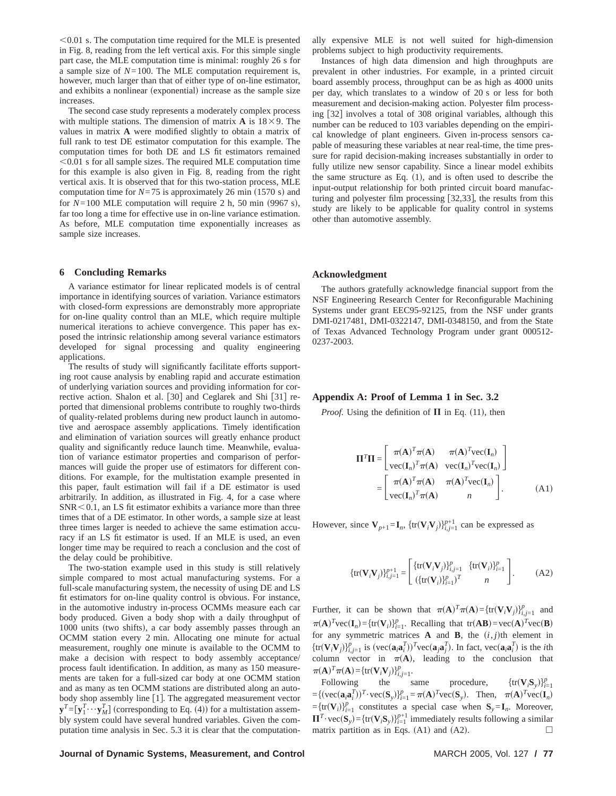$< 0.01$  s. The computation time required for the MLE is presented in Fig. 8, reading from the left vertical axis. For this simple single part case, the MLE computation time is minimal: roughly 26 s for a sample size of *N*=100. The MLE computation requirement is, however, much larger than that of either type of on-line estimator, and exhibits a nonlinear (exponential) increase as the sample size increases.

The second case study represents a moderately complex process with multiple stations. The dimension of matrix  $A$  is  $18 \times 9$ . The values in matrix **A** were modified slightly to obtain a matrix of full rank to test DE estimator computation for this example. The computation times for both DE and LS fit estimators remained  $<$ 0.01 s for all sample sizes. The required MLE computation time for this example is also given in Fig. 8, reading from the right vertical axis. It is observed that for this two-station process, MLE computation time for  $N=75$  is approximately 26 min (1570 s) and for  $N=100$  MLE computation will require 2 h, 50 min (9967 s), far too long a time for effective use in on-line variance estimation. As before, MLE computation time exponentially increases as sample size increases.

#### **6 Concluding Remarks**

A variance estimator for linear replicated models is of central importance in identifying sources of variation. Variance estimators with closed-form expressions are demonstrably more appropriate for on-line quality control than an MLE, which require multiple numerical iterations to achieve convergence. This paper has exposed the intrinsic relationship among several variance estimators developed for signal processing and quality engineering applications.

The results of study will significantly facilitate efforts supporting root cause analysis by enabling rapid and accurate estimation of underlying variation sources and providing information for corrective action. Shalon et al. [30] and Ceglarek and Shi [31] reported that dimensional problems contribute to roughly two-thirds of quality-related problems during new product launch in automotive and aerospace assembly applications. Timely identification and elimination of variation sources will greatly enhance product quality and significantly reduce launch time. Meanwhile, evaluation of variance estimator properties and comparison of performances will guide the proper use of estimators for different conditions. For example, for the multistation example presented in this paper, fault estimation will fail if a DE estimator is used arbitrarily. In addition, as illustrated in Fig. 4, for a case where  $SNR < 0.1$ , an LS fit estimator exhibits a variance more than three times that of a DE estimator. In other words, a sample size at least three times larger is needed to achieve the same estimation accuracy if an LS fit estimator is used. If an MLE is used, an even longer time may be required to reach a conclusion and the cost of the delay could be prohibitive.

The two-station example used in this study is still relatively simple compared to most actual manufacturing systems. For a full-scale manufacturing system, the necessity of using DE and LS fit estimators for on-line quality control is obvious. For instance, in the automotive industry in-process OCMMs measure each car body produced. Given a body shop with a daily throughput of 1000 units (two shifts), a car body assembly passes through an OCMM station every 2 min. Allocating one minute for actual measurement, roughly one minute is available to the OCMM to make a decision with respect to body assembly acceptance/ process fault identification. In addition, as many as 150 measurements are taken for a full-sized car body at one OCMM station and as many as ten OCMM stations are distributed along an autobody shop assembly line  $[1]$ . The aggregated measurement vector  $\mathbf{y}^T\text{=}[\mathbf{y}_1^T\!\cdots\!\mathbf{y}_M^T]$  (corresponding to Eq. (4)) for a multistation assembly system could have several hundred variables. Given the computation time analysis in Sec. 5.3 it is clear that the computationally expensive MLE is not well suited for high-dimension problems subject to high productivity requirements.

Instances of high data dimension and high throughputs are prevalent in other industries. For example, in a printed circuit board assembly process, throughput can be as high as 4000 units per day, which translates to a window of 20 s or less for both measurement and decision-making action. Polyester film processing  $\lceil 32 \rceil$  involves a total of 308 original variables, although this number can be reduced to 103 variables depending on the empirical knowledge of plant engineers. Given in-process sensors capable of measuring these variables at near real-time, the time pressure for rapid decision-making increases substantially in order to fully utilize new sensor capability. Since a linear model exhibits the same structure as Eq.  $(1)$ , and is often used to describe the input-output relationship for both printed circuit board manufacturing and polyester film processing  $[32,33]$ , the results from this study are likely to be applicable for quality control in systems other than automotive assembly.

#### **Acknowledgment**

The authors gratefully acknowledge financial support from the NSF Engineering Research Center for Reconfigurable Machining Systems under grant EEC95-92125, from the NSF under grants DMI-0217481, DMI-0322147, DMI-0348150, and from the State of Texas Advanced Technology Program under grant 000512- 0237-2003.

#### **Appendix A: Proof of Lemma 1 in Sec. 3.2**

*Proof.* Using the definition of  $\Pi$  in Eq. (11), then

$$
\Pi^{T}\Pi = \begin{bmatrix} \pi(\mathbf{A})^{T}\pi(\mathbf{A}) & \pi(\mathbf{A})^{T}\text{vec}(\mathbf{I}_{n}) \\ \text{vec}(\mathbf{I}_{n})^{T}\pi(\mathbf{A}) & \text{vec}(\mathbf{I}_{n})^{T}\text{vec}(\mathbf{I}_{n}) \end{bmatrix}
$$

$$
= \begin{bmatrix} \pi(\mathbf{A})^{T}\pi(\mathbf{A}) & \pi(\mathbf{A})^{T}\text{vec}(\mathbf{I}_{n}) \\ \text{vec}(\mathbf{I}_{n})^{T}\pi(\mathbf{A}) & n \end{bmatrix}.
$$
(A1)

However, since  $\mathbf{V}_{p+1} = \mathbf{I}_n$ ,  $\{\text{tr}(\mathbf{V}_i \mathbf{V}_j)\}_{i,j=1}^{p+1}$  can be expressed as

$$
\{\operatorname{tr}(\mathbf{V}_i\mathbf{V}_j)\}_{i,j=1}^{p+1} = \begin{bmatrix} \{\operatorname{tr}(\mathbf{V}_i\mathbf{V}_j)\}_{i,j=1}^p & \{\operatorname{tr}(\mathbf{V}_i)\}_{i=1}^p\\ (\{\operatorname{tr}(\mathbf{V}_i)\}_{i=1}^p)^T & n \end{bmatrix} . \tag{A2}
$$

Further, it can be shown that  $\pi(\mathbf{A})^T \pi(\mathbf{A}) = {\text{tr}(\mathbf{V}_i \mathbf{V}_j)}_{i,j=1}^p$  and  $\pi$ (**A**)<sup>*T*</sup>vec(**I**<sub>*n*</sub>)={tr(**V**<sub>*i*</sub>)}<sup>*p*</sup><sub>*i*=1</sub>. Recalling that tr(**AB**)=vec(**A**)<sup>*T*</sup>vec(**B**) for any symmetric matrices  $A$  and  $B$ , the  $(i, j)$ th element in  $\{tr(\mathbf{V}_i \mathbf{V}_j)\}_{i,j=1}^p$  is  $(\text{vec}(\mathbf{a}_i \mathbf{a}_i^T))^T \text{vec}(\mathbf{a}_j \mathbf{a}_j^T)$ . In fact,  $\text{vec}(\mathbf{a}_i \mathbf{a}_i^T)$  is the *i*th column vector in  $\pi(A)$ , leading to the conclusion that  $\pi(\mathbf{A})^T \pi(\mathbf{A}) = {\{\text{tr}(\mathbf{V}_i \mathbf{V}_j)\}_{i,j=1}^p}.$ 

Following the same procedure,  $\{\text{tr}(\mathbf{V}_i\mathbf{S}_y)\}_{i=1}^p$  $=\{(\text{vec}(\mathbf{a}_i\mathbf{a}_i^T))^T \cdot \text{vec}(\mathbf{S}_y)\}_{i=1}^p = \pi(\mathbf{A})^T \text{vec}(\mathbf{S}_y)$ . Then,  $\pi(\mathbf{A})^T \text{vec}(\mathbf{I}_n)$  $=\{\text{tr}(\mathbf{V}_i)\}_{i=1}^p$  constitutes a special case when  $\mathbf{S}_y = \mathbf{I}_n$ . Moreover,  $\Pi^T \cdot \text{vec}(\mathbf{S}_y) = \{\text{tr}(\mathbf{V}_i \mathbf{S}_y)\}_{i=1}^{p+1}$  immediately results following a similar matrix partition as in Eqs.  $(A1)$  and  $(A2)$ .

#### **Journal of Dynamic Systems, Measurement, and Control MALL ACCONST MARCH 2005, Vol. 127 / 77**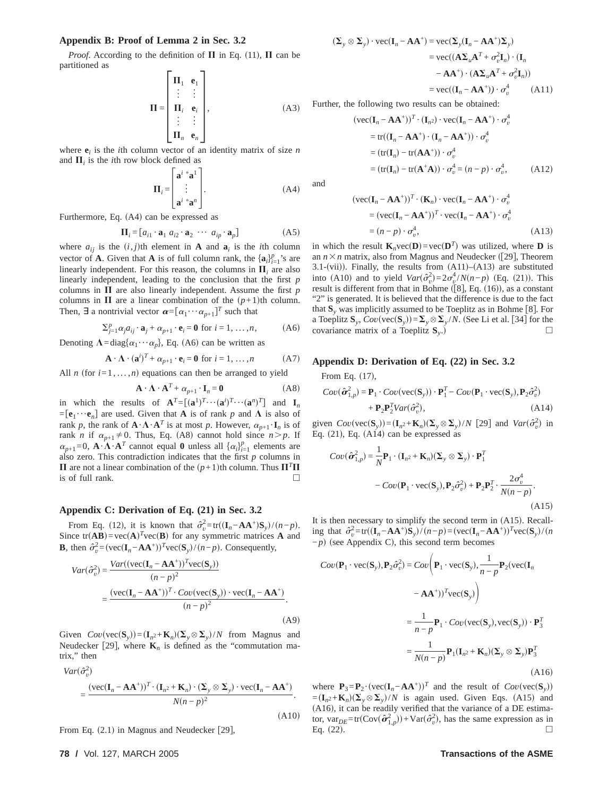#### **Appendix B: Proof of Lemma 2 in Sec. 3.2**

*Proof.* According to the definition of  $\Pi$  in Eq. (11),  $\Pi$  can be partitioned as

$$
\Pi = \begin{bmatrix} \Pi_1 & \mathbf{e}_1 \\ \vdots & \vdots \\ \Pi_i & \mathbf{e}_i \\ \vdots & \vdots \\ \Pi_n & \mathbf{e}_n \end{bmatrix},
$$
(A3)

where  $e_i$  is the *i*th column vector of an identity matrix of size *n* and  $\Pi_i$  is the *i*th row block defined as

$$
\mathbf{\Pi}_{i} = \begin{bmatrix} \mathbf{a}^{i} \mathbf{a}^{1} \\ \vdots \\ \mathbf{a}^{i} \mathbf{a}^{n} \end{bmatrix} .
$$
 (A4)

Furthermore, Eq.  $(A4)$  can be expressed as

$$
\mathbf{\Pi}_i = [a_{i1} \cdot \mathbf{a}_1 \ a_{i2} \cdot \mathbf{a}_2 \ \cdots \ a_{ip} \cdot \mathbf{a}_p] \tag{A5}
$$

where  $a_{ij}$  is the  $(i, j)$ th element in **A** and  $a_i$  is the *i*th column vector of **A**. Given that **A** is of full column rank, the  $\{\mathbf{a}_i\}_{i=1}^p$ 's are linearly independent. For this reason, the columns in  $\Pi_i$  are also linearly independent, leading to the conclusion that the first *p* columns in  $\Pi$  are also linearly independent. Assume the first  $p$ columns in  $\Pi$  are a linear combination of the  $(p+1)$ th column. Then,  $\exists$  a nontrivial vector  $\boldsymbol{\alpha} = [\alpha_1 \cdots \alpha_{p+1}]^T$  such that

$$
\sum_{j=1}^{p} \alpha_j a_{ij} \cdot \mathbf{a}_j + \alpha_{p+1} \cdot \mathbf{e}_i = \mathbf{0} \text{ for } i = 1, ..., n,
$$
 (A6)

Denoting  $\Lambda = diag{\alpha_1 \cdots \alpha_p}$ , Eq. (A6) can be written as

$$
\mathbf{A} \cdot \mathbf{\Lambda} \cdot (\mathbf{a}^i)^T + \alpha_{p+1} \cdot \mathbf{e}_i = \mathbf{0} \text{ for } i = 1, ..., n \tag{A7}
$$

All *n* (for  $i=1,\ldots,n$ ) equations can then be arranged to yield

$$
\mathbf{A} \cdot \mathbf{\Lambda} \cdot \mathbf{A}^T + \alpha_{p+1} \cdot \mathbf{I}_n = \mathbf{0}
$$
 (A8)

in which the results of  $\mathbf{A}^T = [(\mathbf{a}^1)^T \cdots (\mathbf{a}^i)^T \cdots (\mathbf{a}^n)^T]$  and  $\mathbf{I}_n$  $=[\mathbf{e}_1 \cdots \mathbf{e}_n]$  are used. Given that **A** is of rank *p* and **A** is also of rank *p*, the rank of  $\mathbf{A} \cdot \mathbf{\Lambda} \cdot \mathbf{A}^T$  is at most *p*. However,  $\alpha_{p+1} \cdot \mathbf{I}_n$  is of rank *n* if  $\alpha_{p+1} \neq 0$ . Thus, Eq. (A8) cannot hold since  $n > p$ . If  $\alpha_{p+1}=0$ , **A** · **A** · **A**<sup>*T*</sup> cannot equal **0** unless all  $\{\alpha_i\}_{i=1}^p$  elements are also zero. This contradiction indicates that the first *p* columns in  $\Pi$  are not a linear combination of the  $(p+1)$ th column. Thus  $\Pi^T\Pi$ is of full rank.  $\Box$ 

#### **Appendix C: Derivation of Eq. (21) in Sec. 3.2**

From Eq. (12), it is known that  $\hat{\sigma}_v^2 = \text{tr}((\mathbf{I}_n - \mathbf{A}\mathbf{A}^+)\mathbf{S}_y)/(n-p)$ . Since  $tr(AB) = vec(A)^T vec(B)$  for any symmetric matrices **A** and **B**, then  $\hat{\sigma}_v^2 = (\text{vec}(\mathbf{I}_n - \mathbf{A}\mathbf{A}^+))^T \text{vec}(\mathbf{S}_y)/(n-p)$ . Consequently,

$$
Var(\hat{\sigma}_v^2) = \frac{Var((\text{vec}(\mathbf{I}_n - \mathbf{A}\mathbf{A}^+))^T \text{vec}(\mathbf{S}_y))}{(n-p)^2}
$$

$$
= \frac{(\text{vec}(\mathbf{I}_n - \mathbf{A}\mathbf{A}^+))^T \cdot Cov(\text{vec}(\mathbf{S}_y)) \cdot vec(\mathbf{I}_n - \mathbf{A}\mathbf{A}^+)}{(n-p)^2}.
$$
(A9)

Given  $Cov(\text{vec}(\mathbf{S}_y)) = (\mathbf{I}_{n^2} + \mathbf{K}_n)(\mathbf{\Sigma}_y \otimes \mathbf{\Sigma}_y)/N$  from Magnus and Neudecker [29], where  $\mathbf{K}_n$  is defined as the "commutation matrix," then

$$
Var(\hat{\sigma}_v^2)
$$
  
= 
$$
\frac{(vec(\mathbf{I}_n - \mathbf{A}\mathbf{A}^+))^T \cdot (\mathbf{I}_{n^2} + \mathbf{K}_n) \cdot (\mathbf{\Sigma}_y \otimes \mathbf{\Sigma}_y) \cdot vec(\mathbf{I}_n - \mathbf{A}\mathbf{A}^+)}{N(n-p)^2}.
$$
  
(A10)

From Eq.  $(2.1)$  in Magnus and Neudecker [29],

$$
(\Sigma_y \otimes \Sigma_y) \cdot \text{vec}(\mathbf{I}_n - \mathbf{A}\mathbf{A}^+) = \text{vec}(\Sigma_y(\mathbf{I}_n - \mathbf{A}\mathbf{A}^+) \Sigma_y)
$$
  
=  $\text{vec}((\mathbf{A}\Sigma_u\mathbf{A}^T + \sigma_v^2\mathbf{I}_n) \cdot (\mathbf{I}_n - \mathbf{A}\mathbf{A}^+) \cdot (\mathbf{A}\Sigma_u\mathbf{A}^T + \sigma_v^2\mathbf{I}_n))$   
=  $\text{vec}((\mathbf{I}_n - \mathbf{A}\mathbf{A}^+) \cdot \sigma_v^4$  (A11)

Further, the following two results can be obtained:

$$
(\text{vec}(\mathbf{I}_n - \mathbf{A}\mathbf{A}^+))^T \cdot (\mathbf{I}_{n^2}) \cdot \text{vec}(\mathbf{I}_n - \mathbf{A}\mathbf{A}^+) \cdot \sigma_v^4
$$
  
= tr( $(\mathbf{I}_n - \mathbf{A}\mathbf{A}^+) \cdot (\mathbf{I}_n - \mathbf{A}\mathbf{A}^+) \cdot \sigma_v^4$   
=  $(\text{tr}(\mathbf{I}_n) - \text{tr}(\mathbf{A}\mathbf{A}^+) ) \cdot \sigma_v^4$   
=  $(\text{tr}(\mathbf{I}_n) - \text{tr}(\mathbf{A}^+ \mathbf{A})) \cdot \sigma_v^4 = (n - p) \cdot \sigma_v^4,$  (A12)

and

$$
(\text{vec}(\mathbf{I}_n - \mathbf{A}\mathbf{A}^+))^T \cdot (\mathbf{K}_n) \cdot \text{vec}(\mathbf{I}_n - \mathbf{A}\mathbf{A}^+) \cdot \sigma_v^4
$$
  
=\n
$$
(\text{vec}(\mathbf{I}_n - \mathbf{A}\mathbf{A}^+))^T \cdot \text{vec}(\mathbf{I}_n - \mathbf{A}\mathbf{A}^+) \cdot \sigma_v^4
$$
  
=\n
$$
(n - p) \cdot \sigma_v^4,
$$
\n(A13)

in which the result  $\mathbf{K}_n$ vec $(\mathbf{D})$ =vec $(\mathbf{D}^T)$  was utilized, where **D** is an  $n \times n$  matrix, also from Magnus and Neudecker ([29], Theorem 3.1-(vii)). Finally, the results from  $(A11)$ – $(A13)$  are substituted into (A10) and to yield  $Var(\hat{\sigma}_v^2) = 2\sigma_v^4/N(n-p)$  (Eq. (21)). This result is different from that in Bohme  $(8\bar{8}, \text{Eq. } (16))$ , as a constant "2" is generated. It is believed that the difference is due to the fact that  $S<sub>v</sub>$  was implicitly assumed to be Toeplitz as in Bohme [8]. For a Toeplitz  $\mathbf{S}_y$ ,  $Cov( \text{vec}(\mathbf{S}_y)) = \sum_y \otimes \sum_y / N$ . (See Li et al. [34] for the covariance matrix of a Toeplitz  $S_y$ .

#### **Appendix D: Derivation of Eq. (22) in Sec. 3.2**

From Eq.  $(17)$ ,

$$
Cov(\hat{\sigma}_{1,p}^2) = \mathbf{P}_1 \cdot Cov(\text{vec}(\mathbf{S}_y)) \cdot \mathbf{P}_1^T - Cov(\mathbf{P}_1 \cdot \text{vec}(\mathbf{S}_y), \mathbf{P}_2 \hat{\sigma}_v^2) + \mathbf{P}_2 \mathbf{P}_2^T Var(\hat{\sigma}_v^2),
$$
\n(A14)

given  $Cov(\text{vec}(\mathbf{S}_y)) = (\mathbf{I}_{n^2} + \mathbf{K}_n)(\mathbf{\Sigma}_y \otimes \mathbf{\Sigma}_y) / N$  [29] and  $Var(\hat{\sigma}_v^2)$  in Eq.  $(21)$ , Eq.  $(A14)$  can be expressed as

$$
Cov(\hat{\sigma}_{1,p}^2) = \frac{1}{N} \mathbf{P}_1 \cdot (\mathbf{I}_{n^2} + \mathbf{K}_n)(\mathbf{\Sigma}_y \otimes \mathbf{\Sigma}_y) \cdot \mathbf{P}_1^T
$$
  
-  $Cov(\mathbf{P}_1 \cdot vec(\mathbf{S}_y), \mathbf{P}_2 \hat{\sigma}_v^2) + \mathbf{P}_2 \mathbf{P}_2^T \cdot \frac{2\sigma_v^4}{N(n-p)}.$  (A15)

It is then necessary to simplify the second term in  $(A15)$ . Recalling that  $\hat{\sigma}_v^2 = \text{tr}((\mathbf{I}_n - \mathbf{A}\mathbf{A}^+)\mathbf{S}_y)/(n-p) = (\text{vec}(\mathbf{I}_n - \mathbf{A}\mathbf{A}^+))^T \text{vec}(\mathbf{S}_y)/(n-p)$  $-p$ ) (see Appendix C), this second term becomes

$$
Cov(\mathbf{P}_1 \cdot vec(\mathbf{S}_y), \mathbf{P}_2 \hat{\sigma}_v^2) = Cov\left(\mathbf{P}_1 \cdot vec(\mathbf{S}_y), \frac{1}{n-p} \mathbf{P}_2 (vec(\mathbf{I}_n - \mathbf{A}^+))^T vec(\mathbf{S}_y)\right)
$$
  

$$
= \frac{1}{n-p} \mathbf{P}_1 \cdot Cov(vec(\mathbf{S}_y), vec(\mathbf{S}_y)) \cdot \mathbf{P}_3^T
$$
  

$$
= \frac{1}{N(n-p)} \mathbf{P}_1 (\mathbf{I}_{n^2} + \mathbf{K}_n) (\mathbf{\Sigma}_y \otimes \mathbf{\Sigma}_y) \mathbf{P}_3^T
$$
  
(A16)

where  $P_3 = P_2 \cdot (vec(I_n - AA^+))^T$  and the result of  $Cov(vec(S_v))$  $=$  $(\mathbf{I}_{n^2} + \mathbf{K}_n)(\mathbf{\Sigma}_{\nu} \otimes \mathbf{\Sigma}_{\nu})/N$  is again used. Given Eqs. (A15) and  $(A16)$ , it can be readily verified that the variance of a DE estimator,  $var_{DE} = tr(Cov(\hat{\sigma}_{1,p}^2)) + Var(\hat{\sigma}_v^2)$ , has the same expression as in Eq. (22).

**78 /** Vol. 127, MARCH 2005 **Transactions of the ASME**